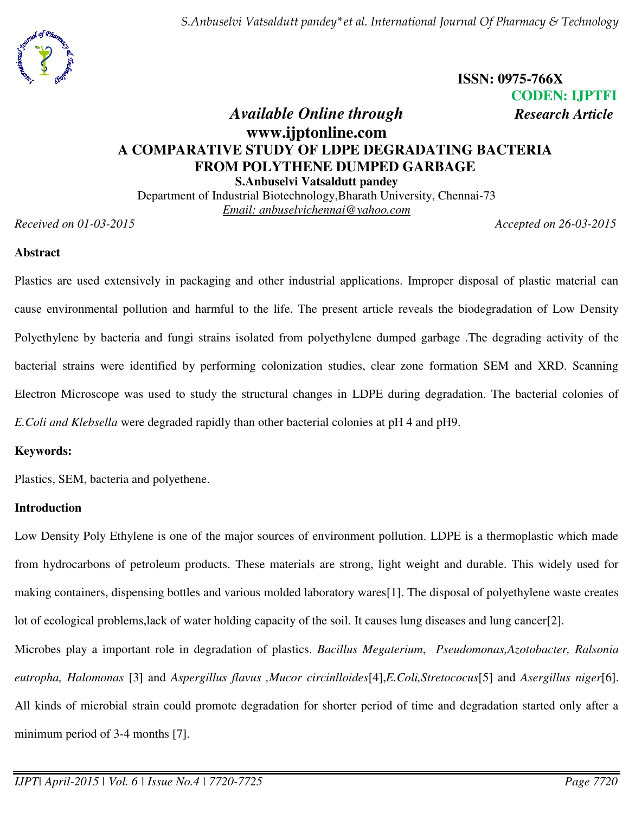*S.Anbuselvi Vatsaldutt pandey\*et al. International Journal Of Pharmacy & Technology* 



**ISSN: 0975-766X CODEN: IJPTFI** 

# *Available Online through Research Article* **www.ijptonline.com A COMPARATIVE STUDY OF LDPE DEGRADATING BACTERIA FROM POLYTHENE DUMPED GARBAGE S.Anbuselvi Vatsaldutt pandey**

Department of Industrial Biotechnology,Bharath University, Chennai-73 *Email: anbuselvichennai@yahoo.com* 

*Received on 01-03-2015 Accepted on 26-03-2015*

### **Abstract**

Plastics are used extensively in packaging and other industrial applications. Improper disposal of plastic material can cause environmental pollution and harmful to the life. The present article reveals the biodegradation of Low Density Polyethylene by bacteria and fungi strains isolated from polyethylene dumped garbage .The degrading activity of the bacterial strains were identified by performing colonization studies, clear zone formation SEM and XRD. Scanning Electron Microscope was used to study the structural changes in LDPE during degradation. The bacterial colonies of *E.Coli and Klebsella* were degraded rapidly than other bacterial colonies at pH 4 and pH9.

### **Keywords:**

Plastics, SEM, bacteria and polyethene.

#### **Introduction**

Low Density Poly Ethylene is one of the major sources of environment pollution. LDPE is a thermoplastic which made from hydrocarbons of petroleum products. These materials are strong, light weight and durable. This widely used for making containers, dispensing bottles and various molded laboratory wares[1]. The disposal of polyethylene waste creates lot of ecological problems,lack of water holding capacity of the soil. It causes lung diseases and lung cancer[2]. Microbes play a important role in degradation of plastics. *Bacillus Megaterium*, *Pseudomonas,Azotobacter, Ralsonia eutropha, Halomonas* [3] and *Aspergillus flavus ,Mucor circinlloides*[4],*E.Coli,Stretococus*[5] and *Asergillus niger*[6].

All kinds of microbial strain could promote degradation for shorter period of time and degradation started only after a minimum period of 3-4 months [7].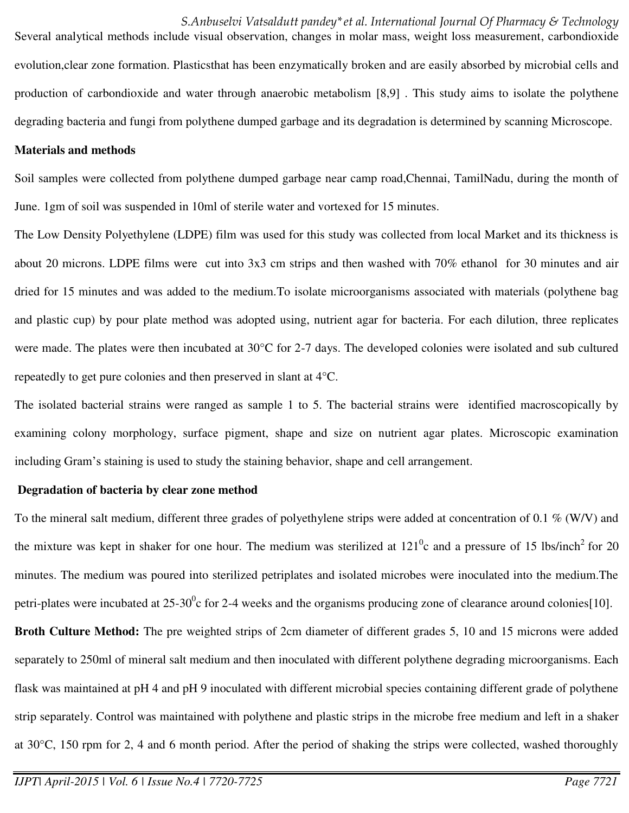*S.Anbuselvi Vatsaldutt pandey\*et al. International Journal Of Pharmacy & Technology*  Several analytical methods include visual observation, changes in molar mass, weight loss measurement, carbondioxide evolution,clear zone formation. Plasticsthat has been enzymatically broken and are easily absorbed by microbial cells and production of carbondioxide and water through anaerobic metabolism [8,9] . This study aims to isolate the polythene degrading bacteria and fungi from polythene dumped garbage and its degradation is determined by scanning Microscope.

#### **Materials and methods**

Soil samples were collected from polythene dumped garbage near camp road,Chennai, TamilNadu, during the month of June. 1gm of soil was suspended in 10ml of sterile water and vortexed for 15 minutes.

The Low Density Polyethylene (LDPE) film was used for this study was collected from local Market and its thickness is about 20 microns. LDPE films were cut into 3x3 cm strips and then washed with 70% ethanol for 30 minutes and air dried for 15 minutes and was added to the medium.To isolate microorganisms associated with materials (polythene bag and plastic cup) by pour plate method was adopted using, nutrient agar for bacteria. For each dilution, three replicates were made. The plates were then incubated at 30<sup>o</sup>C for 2-7 days. The developed colonies were isolated and sub cultured repeatedly to get pure colonies and then preserved in slant at 4°C.

The isolated bacterial strains were ranged as sample 1 to 5. The bacterial strains were identified macroscopically by examining colony morphology, surface pigment, shape and size on nutrient agar plates. Microscopic examination including Gram's staining is used to study the staining behavior, shape and cell arrangement.

#### **Degradation of bacteria by clear zone method**

To the mineral salt medium, different three grades of polyethylene strips were added at concentration of 0.1  $\%$  (W/V) and the mixture was kept in shaker for one hour. The medium was sterilized at  $121^0c$  and a pressure of 15 lbs/inch<sup>2</sup> for 20 minutes. The medium was poured into sterilized petriplates and isolated microbes were inoculated into the medium.The petri-plates were incubated at 25-30 $\degree$ c for 2-4 weeks and the organisms producing zone of clearance around colonies[10]. **Broth Culture Method:** The pre weighted strips of 2cm diameter of different grades 5, 10 and 15 microns were added

separately to 250ml of mineral salt medium and then inoculated with different polythene degrading microorganisms. Each flask was maintained at pH 4 and pH 9 inoculated with different microbial species containing different grade of polythene strip separately. Control was maintained with polythene and plastic strips in the microbe free medium and left in a shaker at 30°C, 150 rpm for 2, 4 and 6 month period. After the period of shaking the strips were collected, washed thoroughly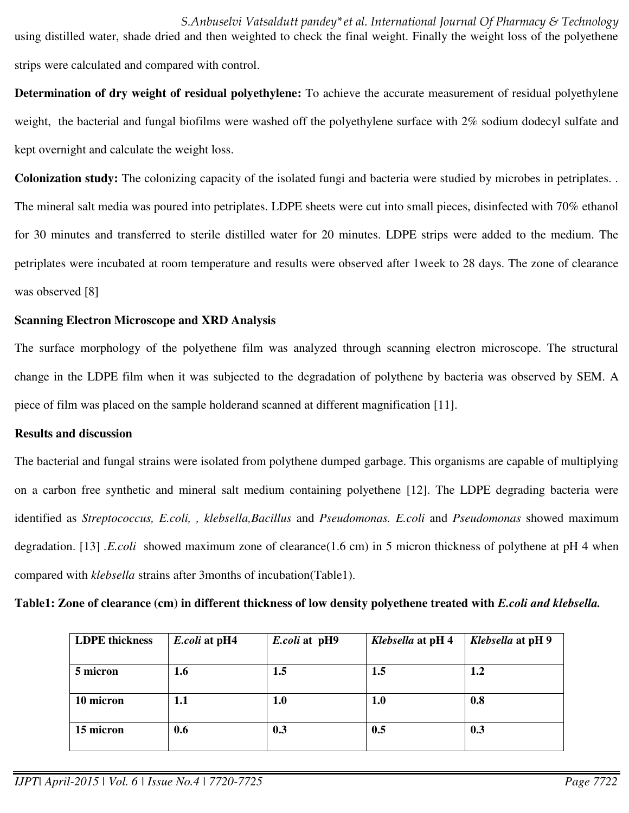*S.Anbuselvi Vatsaldutt pandey\*et al. International Journal Of Pharmacy & Technology*  using distilled water, shade dried and then weighted to check the final weight. Finally the weight loss of the polyethene strips were calculated and compared with control.

**Determination of dry weight of residual polyethylene:** To achieve the accurate measurement of residual polyethylene weight, the bacterial and fungal biofilms were washed off the polyethylene surface with 2% sodium dodecyl sulfate and kept overnight and calculate the weight loss.

**Colonization study:** The colonizing capacity of the isolated fungi and bacteria were studied by microbes in petriplates. . The mineral salt media was poured into petriplates. LDPE sheets were cut into small pieces, disinfected with 70% ethanol for 30 minutes and transferred to sterile distilled water for 20 minutes. LDPE strips were added to the medium. The petriplates were incubated at room temperature and results were observed after 1week to 28 days. The zone of clearance was observed [8]

### **Scanning Electron Microscope and XRD Analysis**

The surface morphology of the polyethene film was analyzed through scanning electron microscope. The structural change in the LDPE film when it was subjected to the degradation of polythene by bacteria was observed by SEM. A piece of film was placed on the sample holderand scanned at different magnification [11].

#### **Results and discussion**

The bacterial and fungal strains were isolated from polythene dumped garbage. This organisms are capable of multiplying on a carbon free synthetic and mineral salt medium containing polyethene [12]. The LDPE degrading bacteria were identified as *Streptococcus, E.coli, , klebsella,Bacillus* and *Pseudomonas. E.coli* and *Pseudomonas* showed maximum degradation. [13] *.E.coli* showed maximum zone of clearance(1.6 cm) in 5 micron thickness of polythene at pH 4 when compared with *klebsella* strains after 3months of incubation(Table1).

**Table1: Zone of clearance (cm) in different thickness of low density polyethene treated with** *E.coli and klebsella.* 

| <b>LDPE</b> thickness | E.coli at pH4 | E.coli at pH9 | Klebsella at pH 4 | Klebsella at pH 9 |
|-----------------------|---------------|---------------|-------------------|-------------------|
| 5 micron              | 1.6           | 1.5           | 1.5               | 1.2               |
| 10 micron             | 1.1           | 1.0           | 1.0               | 0.8               |
| 15 micron             | 0.6           | 0.3           | 0.5               | 0.3               |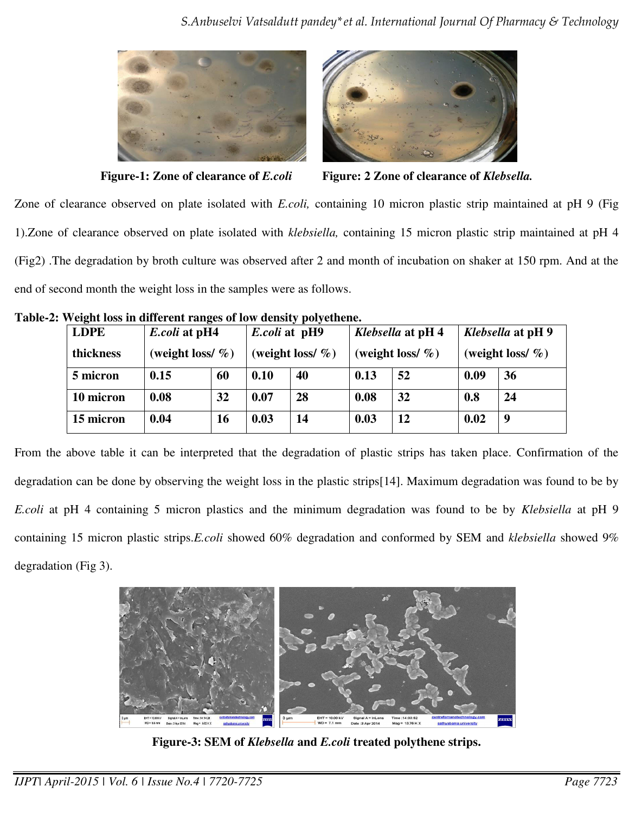



**Figure-1: Zone of clearance of** *E.coli* **Figure: 2 Zone of clearance of** *Klebsella.*

Zone of clearance observed on plate isolated with *E.coli,* containing 10 micron plastic strip maintained at pH 9 (Fig 1).Zone of clearance observed on plate isolated with *klebsiella,* containing 15 micron plastic strip maintained at pH 4 (Fig2) .The degradation by broth culture was observed after 2 and month of incubation on shaker at 150 rpm. And at the end of second month the weight loss in the samples were as follows.

| <b>LDPE</b> |      | <i>E.coli</i> at pH4 |      | <i>E.coli</i> at pH9 |      | <i>Klebsella</i> at pH 4 |      | Klebsella at pH 9    |  |
|-------------|------|----------------------|------|----------------------|------|--------------------------|------|----------------------|--|
| thickness   |      | (weight loss/ $\%$ ) |      | (weight loss/ $\%$ ) |      | (weight loss/ $\%$ )     |      | (weight loss/ $\%$ ) |  |
| 5 micron    | 0.15 | 60                   | 0.10 | 40                   | 0.13 | 52                       | 0.09 | 36                   |  |
| 10 micron   | 0.08 | 32                   | 0.07 | 28                   | 0.08 | 32                       | 0.8  | 24                   |  |
| 15 micron   | 0.04 | 16                   | 0.03 | 14                   | 0.03 | 12                       | 0.02 | 9                    |  |

**Table-2: Weight loss in different ranges of low density polyethene.** 

From the above table it can be interpreted that the degradation of plastic strips has taken place. Confirmation of the degradation can be done by observing the weight loss in the plastic strips[14]. Maximum degradation was found to be by *E.coli* at pH 4 containing 5 micron plastics and the minimum degradation was found to be by *Klebsiella* at pH 9 containing 15 micron plastic strips.*E.coli* showed 60% degradation and conformed by SEM and *klebsiella* showed 9% degradation (Fig 3).



**Figure-3: SEM of** *Klebsella* **and** *E.coli* **treated polythene strips.**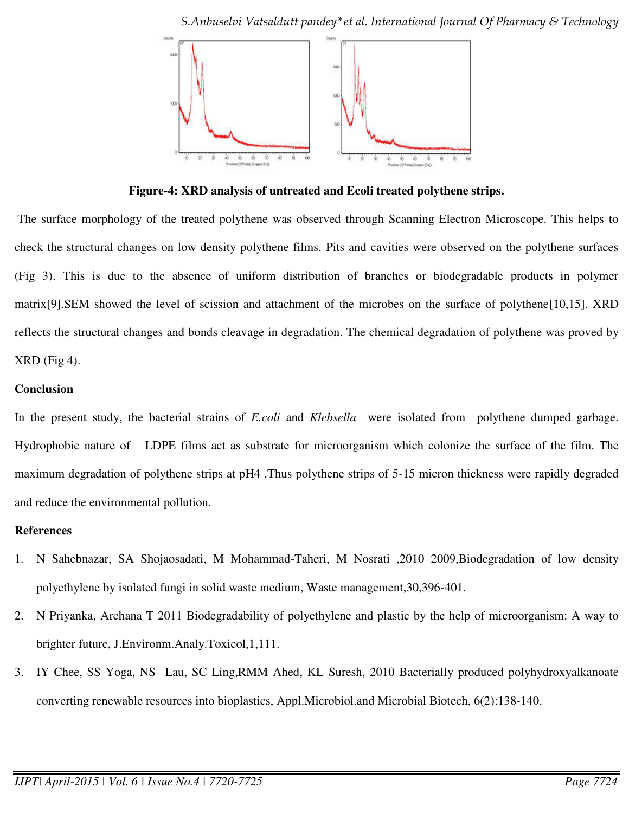*S.Anbuselvi Vatsaldutt pandey\*et al. International Journal Of Pharmacy & Technology* 



**Figure-4: XRD analysis of untreated and Ecoli treated polythene strips.** 

 The surface morphology of the treated polythene was observed through Scanning Electron Microscope. This helps to check the structural changes on low density polythene films. Pits and cavities were observed on the polythene surfaces (Fig 3). This is due to the absence of uniform distribution of branches or biodegradable products in polymer matrix[9].SEM showed the level of scission and attachment of the microbes on the surface of polythene[10,15]. XRD reflects the structural changes and bonds cleavage in degradation. The chemical degradation of polythene was proved by XRD (Fig 4).

### **Conclusion**

In the present study, the bacterial strains of *E.coli* and *Klebsella* were isolated from polythene dumped garbage. Hydrophobic nature of LDPE films act as substrate for microorganism which colonize the surface of the film. The maximum degradation of polythene strips at pH4 .Thus polythene strips of 5-15 micron thickness were rapidly degraded and reduce the environmental pollution.

#### **References**

- 1. N Sahebnazar, SA Shojaosadati, M Mohammad-Taheri, M Nosrati ,2010 2009,Biodegradation of low density polyethylene by isolated fungi in solid waste medium, Waste management,30,396-401.
- 2. N Priyanka, Archana T 2011 Biodegradability of polyethylene and plastic by the help of microorganism: A way to brighter future, J.Environm.Analy.Toxicol,1,111.
- 3. IY Chee, SS Yoga, NS Lau, SC Ling,RMM Ahed, KL Suresh, 2010 Bacterially produced polyhydroxyalkanoate converting renewable resources into bioplastics, Appl.Microbiol.and Microbial Biotech, 6(2):138-140.